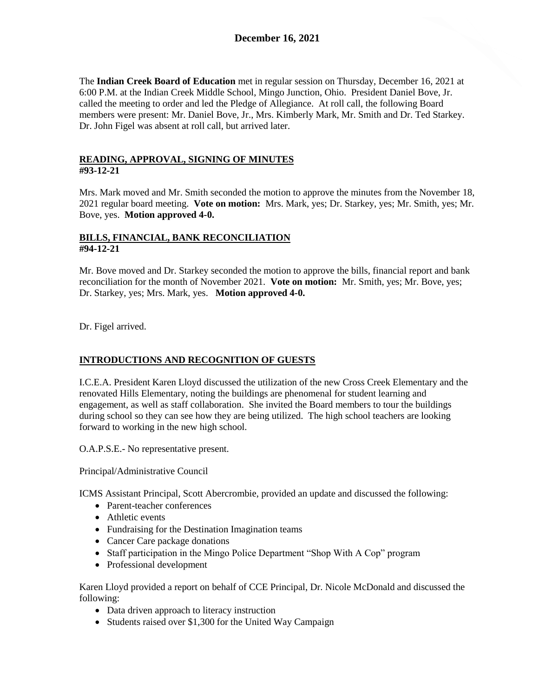The **Indian Creek Board of Education** met in regular session on Thursday, December 16, 2021 at 6:00 P.M. at the Indian Creek Middle School, Mingo Junction, Ohio. President Daniel Bove, Jr. called the meeting to order and led the Pledge of Allegiance. At roll call, the following Board members were present: Mr. Daniel Bove, Jr., Mrs. Kimberly Mark, Mr. Smith and Dr. Ted Starkey. Dr. John Figel was absent at roll call, but arrived later.

# **READING, APPROVAL, SIGNING OF MINUTES #93-12-21**

Mrs. Mark moved and Mr. Smith seconded the motion to approve the minutes from the November 18, 2021 regular board meeting. **Vote on motion:** Mrs. Mark, yes; Dr. Starkey, yes; Mr. Smith, yes; Mr. Bove, yes. **Motion approved 4-0.**

# **BILLS, FINANCIAL, BANK RECONCILIATION #94-12-21**

Mr. Bove moved and Dr. Starkey seconded the motion to approve the bills, financial report and bank reconciliation for the month of November 2021. **Vote on motion:** Mr. Smith, yes; Mr. Bove, yes; Dr. Starkey, yes; Mrs. Mark, yes. **Motion approved 4-0.**

Dr. Figel arrived.

# **INTRODUCTIONS AND RECOGNITION OF GUESTS**

I.C.E.A. President Karen Lloyd discussed the utilization of the new Cross Creek Elementary and the renovated Hills Elementary, noting the buildings are phenomenal for student learning and engagement, as well as staff collaboration. She invited the Board members to tour the buildings during school so they can see how they are being utilized. The high school teachers are looking forward to working in the new high school.

O.A.P.S.E.- No representative present.

Principal/Administrative Council

ICMS Assistant Principal, Scott Abercrombie, provided an update and discussed the following:

- Parent-teacher conferences
- Athletic events
- Fundraising for the Destination Imagination teams
- Cancer Care package donations
- Staff participation in the Mingo Police Department "Shop With A Cop" program
- Professional development

Karen Lloyd provided a report on behalf of CCE Principal, Dr. Nicole McDonald and discussed the following:

- Data driven approach to literacy instruction
- Students raised over \$1,300 for the United Way Campaign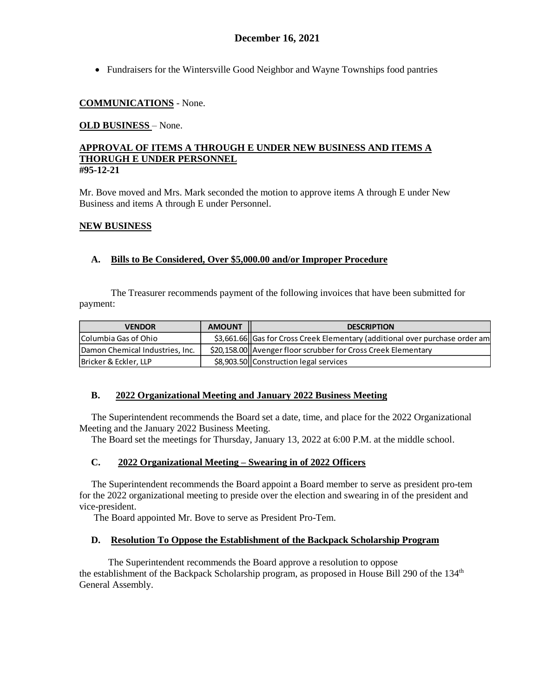Fundraisers for the Wintersville Good Neighbor and Wayne Townships food pantries

# **COMMUNICATIONS** - None.

# **OLD BUSINESS** – None.

### **APPROVAL OF ITEMS A THROUGH E UNDER NEW BUSINESS AND ITEMS A THORUGH E UNDER PERSONNEL #95-12-21**

Mr. Bove moved and Mrs. Mark seconded the motion to approve items A through E under New Business and items A through E under Personnel.

# **NEW BUSINESS**

# **A. Bills to Be Considered, Over \$5,000.00 and/or Improper Procedure**

The Treasurer recommends payment of the following invoices that have been submitted for payment:

| <b>VENDOR</b>                   | <b>AMOUNT</b> | <b>DESCRIPTION</b>                                                           |
|---------------------------------|---------------|------------------------------------------------------------------------------|
| Columbia Gas of Ohio            |               | \$3,661.66 Gas for Cross Creek Elementary (additional over purchase order am |
| Damon Chemical Industries, Inc. |               | \$20,158.00 Avenger floor scrubber for Cross Creek Elementary                |
| Bricker & Eckler, LLP           |               | \$8,903.50 Construction legal services                                       |

# **B. 2022 Organizational Meeting and January 2022 Business Meeting**

 The Superintendent recommends the Board set a date, time, and place for the 2022 Organizational Meeting and the January 2022 Business Meeting.

The Board set the meetings for Thursday, January 13, 2022 at 6:00 P.M. at the middle school.

# **C. 2022 Organizational Meeting – Swearing in of 2022 Officers**

 The Superintendent recommends the Board appoint a Board member to serve as president pro-tem for the 2022 organizational meeting to preside over the election and swearing in of the president and vice-president.

The Board appointed Mr. Bove to serve as President Pro-Tem.

# **D. Resolution To Oppose the Establishment of the Backpack Scholarship Program**

The Superintendent recommends the Board approve a resolution to oppose the establishment of the Backpack Scholarship program, as proposed in House Bill 290 of the  $134<sup>th</sup>$ General Assembly.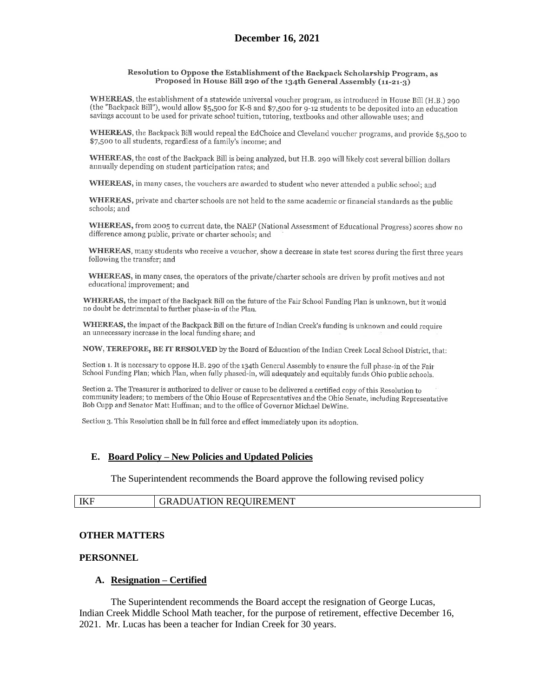#### Resolution to Oppose the Establishment of the Backpack Scholarship Program, as Proposed in House Bill 290 of the 134th General Assembly (11-21-3)

WHEREAS, the establishment of a statewide universal voucher program, as introduced in House Bill (H.B.) 290 (the "Backpack Bill"), would allow \$5,500 for K-8 and \$7,500 for 9-12 students to be deposited into an education savings account to be used for private school tuition, tutoring, textbooks and other allowable uses; and

WHEREAS, the Backpack Bill would repeal the EdChoice and Cleveland voucher programs, and provide \$5,500 to \$7,500 to all students, regardless of a family's income; and

WHEREAS, the cost of the Backpack Bill is being analyzed, but H.B. 290 will likely cost several billion dollars annually depending on student participation rates; and

WHEREAS, in many cases, the vouchers are awarded to student who never attended a public school; and

WHEREAS, private and charter schools are not held to the same academic or financial standards as the public schools; and

WHEREAS, from 2005 to current date, the NAEP (National Assessment of Educational Progress) scores show no difference among public, private or charter schools; and

WHEREAS, many students who receive a voucher, show a decrease in state test scores during the first three years following the transfer; and

WHEREAS, in many cases, the operators of the private/charter schools are driven by profit motives and not educational improvement; and

WHEREAS, the impact of the Backpack Bill on the future of the Fair School Funding Plan is unknown, but it would no doubt be detrimental to further phase-in of the Plan.

WHEREAS, the impact of the Backpack Bill on the future of Indian Creek's funding is unknown and could require an unnecessary increase in the local funding share; and

NOW, TEREFORE, BE IT RESOLVED by the Board of Education of the Indian Creek Local School District, that:

Section 1. It is necessary to oppose H.B. 290 of the 134th General Assembly to ensure the full phase-in of the Fair School Funding Plan; which Plan, when fully phased-in, will adequately and equitably funds Ohio public schools.

Section 2. The Treasurer is authorized to deliver or cause to be delivered a certified copy of this Resolution to community leaders; to members of the Ohio House of Representatives and the Ohio Senate, including Representative Bob Cupp and Senator Matt Huffman; and to the office of Governor Michael DeWine.

Section 3. This Resolution shall be in full force and effect immediately upon its adoption.

#### **E. Board Policy – New Policies and Updated Policies**

The Superintendent recommends the Board approve the following revised policy

| IKF<br><b>REQUIREMENT</b><br>ATION<br>$\sim$<br>the contract of the contract of the contract of the contract of the contract of the contract of the contract of |
|-----------------------------------------------------------------------------------------------------------------------------------------------------------------|
|-----------------------------------------------------------------------------------------------------------------------------------------------------------------|

### **OTHER MATTERS**

#### **PERSONNEL**

#### **A. Resignation – Certified**

The Superintendent recommends the Board accept the resignation of George Lucas, Indian Creek Middle School Math teacher, for the purpose of retirement, effective December 16, 2021. Mr. Lucas has been a teacher for Indian Creek for 30 years.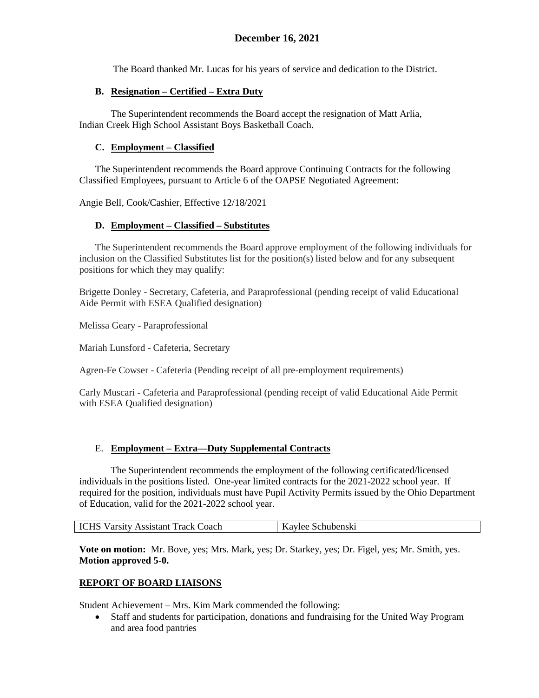The Board thanked Mr. Lucas for his years of service and dedication to the District.

# **B. Resignation – Certified – Extra Duty**

The Superintendent recommends the Board accept the resignation of Matt Arlia, Indian Creek High School Assistant Boys Basketball Coach.

# **C. Employment – Classified**

The Superintendent recommends the Board approve Continuing Contracts for the following Classified Employees, pursuant to Article 6 of the OAPSE Negotiated Agreement:

Angie Bell, Cook/Cashier, Effective 12/18/2021

# **D. Employment – Classified – Substitutes**

The Superintendent recommends the Board approve employment of the following individuals for inclusion on the Classified Substitutes list for the position(s) listed below and for any subsequent positions for which they may qualify:

Brigette Donley - Secretary, Cafeteria, and Paraprofessional (pending receipt of valid Educational Aide Permit with ESEA Qualified designation)

Melissa Geary - Paraprofessional

Mariah Lunsford - Cafeteria, Secretary

Agren-Fe Cowser - Cafeteria (Pending receipt of all pre-employment requirements)

Carly Muscari - Cafeteria and Paraprofessional (pending receipt of valid Educational Aide Permit with ESEA Qualified designation)

# E. **Employment – Extra—Duty Supplemental Contracts**

The Superintendent recommends the employment of the following certificated/licensed individuals in the positions listed. One-year limited contracts for the 2021-2022 school year. If required for the position, individuals must have Pupil Activity Permits issued by the Ohio Department of Education, valid for the 2021-2022 school year.

**Vote on motion:** Mr. Bove, yes; Mrs. Mark, yes; Dr. Starkey, yes; Dr. Figel, yes; Mr. Smith, yes. **Motion approved 5-0.**

# **REPORT OF BOARD LIAISONS**

Student Achievement – Mrs. Kim Mark commended the following:

 Staff and students for participation, donations and fundraising for the United Way Program and area food pantries